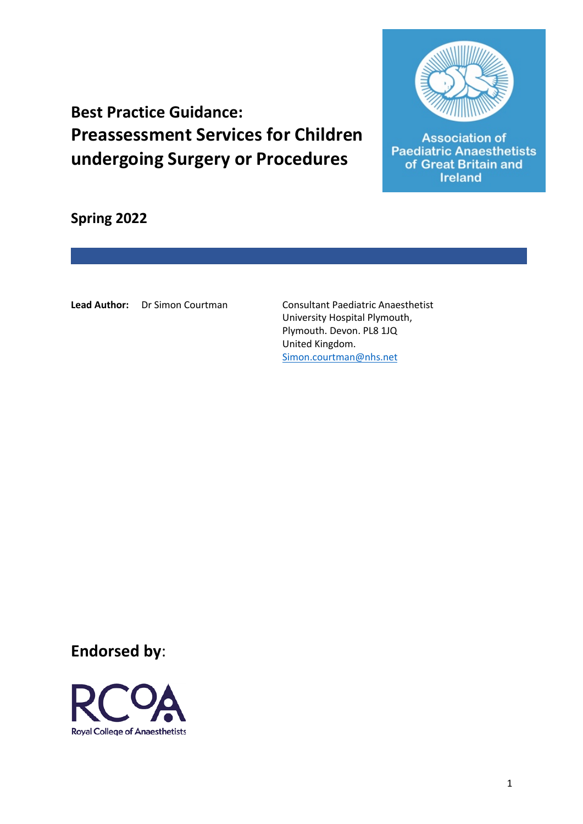

**Association of Paediatric Anaesthetists** of Great Britain and **Ireland** 

**Best Practice Guidance: Preassessment Services for Children undergoing Surgery or Procedures**

**Spring 2022**

Lead Author: Dr Simon Courtman **Consultant Paediatric Anaesthetist** 

University Hospital Plymouth, Plymouth. Devon. PL8 1JQ United Kingdom. Simon.courtman@nhs.net

**Endorsed by**:

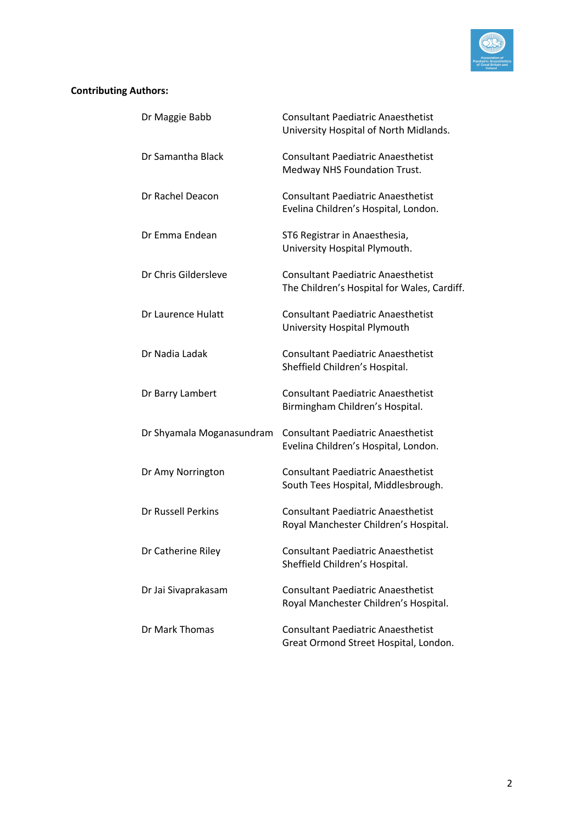

## **Contributing Authors:**

| Dr Maggie Babb            | <b>Consultant Paediatric Anaesthetist</b><br>University Hospital of North Midlands.      |
|---------------------------|------------------------------------------------------------------------------------------|
| Dr Samantha Black         | <b>Consultant Paediatric Anaesthetist</b><br>Medway NHS Foundation Trust.                |
| Dr Rachel Deacon          | <b>Consultant Paediatric Anaesthetist</b><br>Evelina Children's Hospital, London.        |
| Dr Emma Endean            | ST6 Registrar in Anaesthesia,<br>University Hospital Plymouth.                           |
| Dr Chris Gildersleve      | <b>Consultant Paediatric Anaesthetist</b><br>The Children's Hospital for Wales, Cardiff. |
| Dr Laurence Hulatt        | <b>Consultant Paediatric Anaesthetist</b><br>University Hospital Plymouth                |
| Dr Nadia Ladak            | <b>Consultant Paediatric Anaesthetist</b><br>Sheffield Children's Hospital.              |
| Dr Barry Lambert          | <b>Consultant Paediatric Anaesthetist</b><br>Birmingham Children's Hospital.             |
| Dr Shyamala Moganasundram | <b>Consultant Paediatric Anaesthetist</b><br>Evelina Children's Hospital, London.        |
| Dr Amy Norrington         | <b>Consultant Paediatric Anaesthetist</b><br>South Tees Hospital, Middlesbrough.         |
| <b>Dr Russell Perkins</b> | <b>Consultant Paediatric Anaesthetist</b><br>Royal Manchester Children's Hospital.       |
| Dr Catherine Riley        | <b>Consultant Paediatric Anaesthetist</b><br>Sheffield Children's Hospital.              |
| Dr Jai Sivaprakasam       | <b>Consultant Paediatric Anaesthetist</b><br>Royal Manchester Children's Hospital.       |
| Dr Mark Thomas            | <b>Consultant Paediatric Anaesthetist</b><br>Great Ormond Street Hospital, London.       |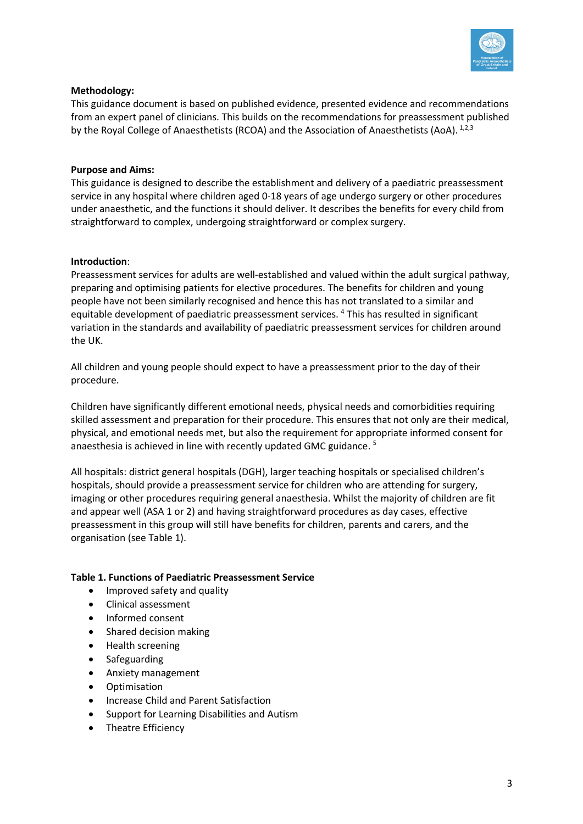

#### **Methodology:**

This guidance document is based on published evidence, presented evidence and recommendations from an expert panel of clinicians. This builds on the recommendations for preassessment published by the Royal College of Anaesthetists (RCOA) and the Association of Anaesthetists (AoA). <sup>1,2,3</sup>

#### **Purpose and Aims:**

This guidance is designed to describe the establishment and delivery of a paediatric preassessment service in any hospital where children aged 0-18 years of age undergo surgery or other procedures under anaesthetic, and the functions it should deliver. It describes the benefits for every child from straightforward to complex, undergoing straightforward or complex surgery.

#### **Introduction**:

Preassessment services for adults are well-established and valued within the adult surgical pathway, preparing and optimising patients for elective procedures. The benefits for children and young people have not been similarly recognised and hence this has not translated to a similar and equitable development of paediatric preassessment services. <sup>4</sup> This has resulted in significant variation in the standards and availability of paediatric preassessment services for children around the UK.

All children and young people should expect to have a preassessment prior to the day of their procedure.

Children have significantly different emotional needs, physical needs and comorbidities requiring skilled assessment and preparation for their procedure. This ensures that not only are their medical, physical, and emotional needs met, but also the requirement for appropriate informed consent for anaesthesia is achieved in line with recently updated GMC guidance. <sup>5</sup>

All hospitals: district general hospitals (DGH), larger teaching hospitals or specialised children's hospitals, should provide a preassessment service for children who are attending for surgery, imaging or other procedures requiring general anaesthesia. Whilst the majority of children are fit and appear well (ASA 1 or 2) and having straightforward procedures as day cases, effective preassessment in this group will still have benefits for children, parents and carers, and the organisation (see Table 1).

#### **Table 1. Functions of Paediatric Preassessment Service**

- Improved safety and quality
- Clinical assessment
- Informed consent
- Shared decision making
- Health screening
- Safeguarding
- Anxiety management
- Optimisation
- Increase Child and Parent Satisfaction
- Support for Learning Disabilities and Autism
- Theatre Efficiency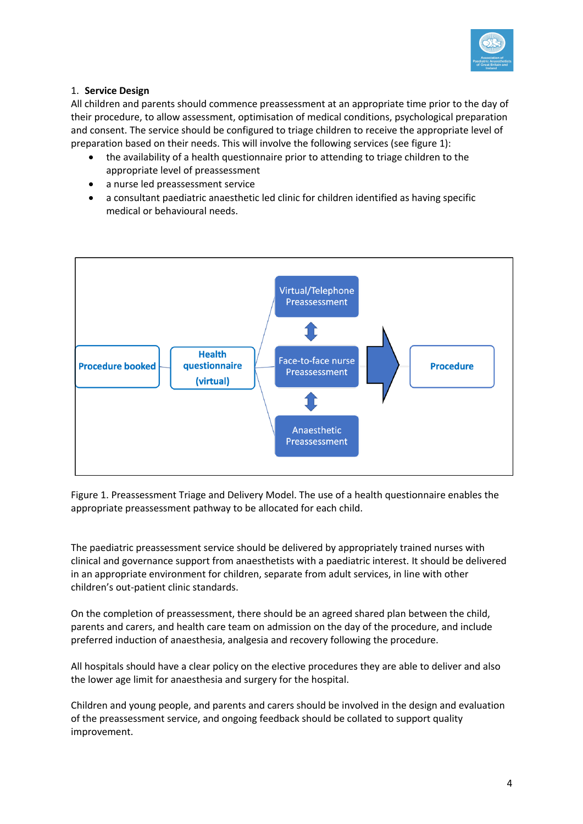

### 1. **Service Design**

All children and parents should commence preassessment at an appropriate time prior to the day of their procedure, to allow assessment, optimisation of medical conditions, psychological preparation and consent. The service should be configured to triage children to receive the appropriate level of preparation based on their needs. This will involve the following services (see figure 1):

- the availability of a health questionnaire prior to attending to triage children to the appropriate level of preassessment
- a nurse led preassessment service
- a consultant paediatric anaesthetic led clinic for children identified as having specific medical or behavioural needs.



Figure 1. Preassessment Triage and Delivery Model. The use of a health questionnaire enables the appropriate preassessment pathway to be allocated for each child.

The paediatric preassessment service should be delivered by appropriately trained nurses with clinical and governance support from anaesthetists with a paediatric interest. It should be delivered in an appropriate environment for children, separate from adult services, in line with other children's out-patient clinic standards.

On the completion of preassessment, there should be an agreed shared plan between the child, parents and carers, and health care team on admission on the day of the procedure, and include preferred induction of anaesthesia, analgesia and recovery following the procedure.

All hospitals should have a clear policy on the elective procedures they are able to deliver and also the lower age limit for anaesthesia and surgery for the hospital.

Children and young people, and parents and carers should be involved in the design and evaluation of the preassessment service, and ongoing feedback should be collated to support quality improvement.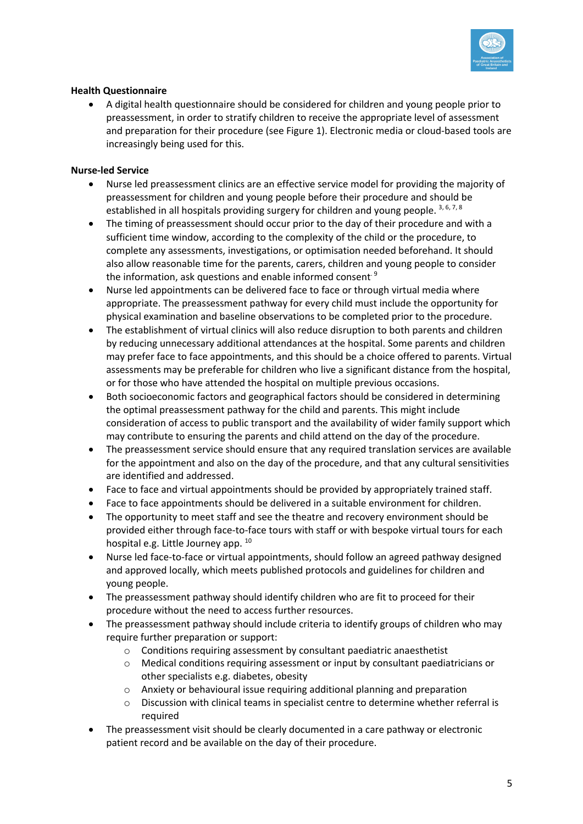

### **Health Questionnaire**

• A digital health questionnaire should be considered for children and young people prior to preassessment, in order to stratify children to receive the appropriate level of assessment and preparation for their procedure (see Figure 1). Electronic media or cloud-based tools are increasingly being used for this.

### **Nurse-led Service**

- Nurse led preassessment clinics are an effective service model for providing the majority of preassessment for children and young people before their procedure and should be established in all hospitals providing surgery for children and young people.  $3, 6, 7, 8$
- The timing of preassessment should occur prior to the day of their procedure and with a sufficient time window, according to the complexity of the child or the procedure, to complete any assessments, investigations, or optimisation needed beforehand. It should also allow reasonable time for the parents, carers, children and young people to consider the information, ask questions and enable informed consent.<sup>9</sup>
- Nurse led appointments can be delivered face to face or through virtual media where appropriate. The preassessment pathway for every child must include the opportunity for physical examination and baseline observations to be completed prior to the procedure.
- The establishment of virtual clinics will also reduce disruption to both parents and children by reducing unnecessary additional attendances at the hospital. Some parents and children may prefer face to face appointments, and this should be a choice offered to parents. Virtual assessments may be preferable for children who live a significant distance from the hospital, or for those who have attended the hospital on multiple previous occasions.
- Both socioeconomic factors and geographical factors should be considered in determining the optimal preassessment pathway for the child and parents. This might include consideration of access to public transport and the availability of wider family support which may contribute to ensuring the parents and child attend on the day of the procedure.
- The preassessment service should ensure that any required translation services are available for the appointment and also on the day of the procedure, and that any cultural sensitivities are identified and addressed.
- Face to face and virtual appointments should be provided by appropriately trained staff.
- Face to face appointments should be delivered in a suitable environment for children.
- The opportunity to meet staff and see the theatre and recovery environment should be provided either through face-to-face tours with staff or with bespoke virtual tours for each hospital e.g. Little Journey app. <sup>10</sup>
- Nurse led face-to-face or virtual appointments, should follow an agreed pathway designed and approved locally, which meets published protocols and guidelines for children and young people.
- The preassessment pathway should identify children who are fit to proceed for their procedure without the need to access further resources.
- The preassessment pathway should include criteria to identify groups of children who may require further preparation or support:
	- o Conditions requiring assessment by consultant paediatric anaesthetist
	- $\circ$  Medical conditions requiring assessment or input by consultant paediatricians or other specialists e.g. diabetes, obesity
	- o Anxiety or behavioural issue requiring additional planning and preparation
	- $\circ$  Discussion with clinical teams in specialist centre to determine whether referral is required
- The preassessment visit should be clearly documented in a care pathway or electronic patient record and be available on the day of their procedure.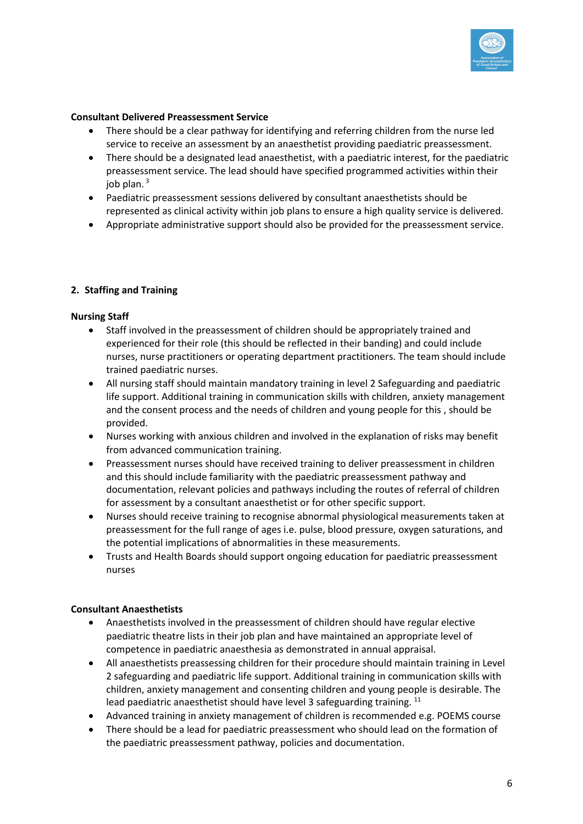

#### **Consultant Delivered Preassessment Service**

- There should be a clear pathway for identifying and referring children from the nurse led service to receive an assessment by an anaesthetist providing paediatric preassessment.
- There should be a designated lead anaesthetist, with a paediatric interest, for the paediatric preassessment service. The lead should have specified programmed activities within their iob plan. $3$
- Paediatric preassessment sessions delivered by consultant anaesthetists should be represented as clinical activity within job plans to ensure a high quality service is delivered.
- Appropriate administrative support should also be provided for the preassessment service.

### **2. Staffing and Training**

#### **Nursing Staff**

- Staff involved in the preassessment of children should be appropriately trained and experienced for their role (this should be reflected in their banding) and could include nurses, nurse practitioners or operating department practitioners. The team should include trained paediatric nurses.
- All nursing staff should maintain mandatory training in level 2 Safeguarding and paediatric life support. Additional training in communication skills with children, anxiety management and the consent process and the needs of children and young people for this , should be provided.
- Nurses working with anxious children and involved in the explanation of risks may benefit from advanced communication training.
- Preassessment nurses should have received training to deliver preassessment in children and this should include familiarity with the paediatric preassessment pathway and documentation, relevant policies and pathways including the routes of referral of children for assessment by a consultant anaesthetist or for other specific support.
- Nurses should receive training to recognise abnormal physiological measurements taken at preassessment for the full range of ages i.e. pulse, blood pressure, oxygen saturations, and the potential implications of abnormalities in these measurements.
- Trusts and Health Boards should support ongoing education for paediatric preassessment nurses

#### **Consultant Anaesthetists**

- Anaesthetists involved in the preassessment of children should have regular elective paediatric theatre lists in their job plan and have maintained an appropriate level of competence in paediatric anaesthesia as demonstrated in annual appraisal.
- All anaesthetists preassessing children for their procedure should maintain training in Level 2 safeguarding and paediatric life support. Additional training in communication skills with children, anxiety management and consenting children and young people is desirable. The lead paediatric anaesthetist should have level 3 safeguarding training. <sup>11</sup>
- Advanced training in anxiety management of children is recommended e.g. POEMS course
- There should be a lead for paediatric preassessment who should lead on the formation of the paediatric preassessment pathway, policies and documentation.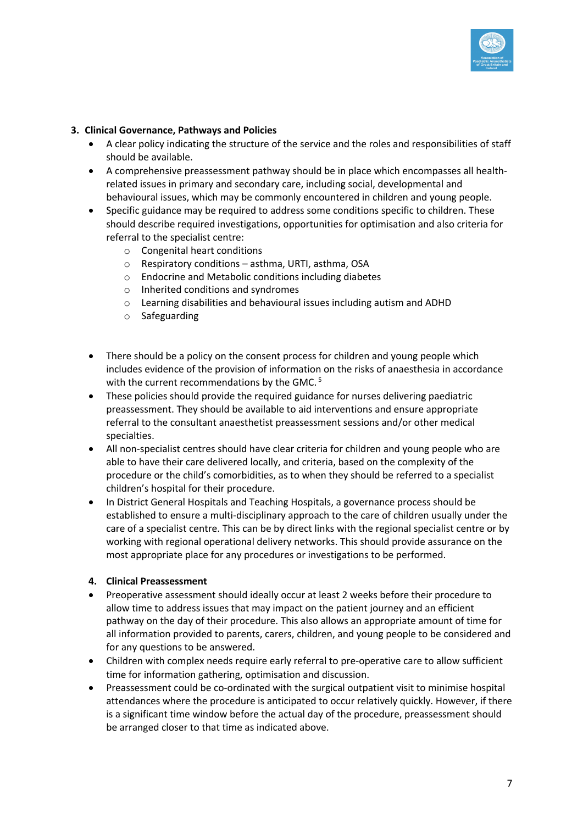

### **3. Clinical Governance, Pathways and Policies**

- A clear policy indicating the structure of the service and the roles and responsibilities of staff should be available.
- A comprehensive preassessment pathway should be in place which encompasses all healthrelated issues in primary and secondary care, including social, developmental and behavioural issues, which may be commonly encountered in children and young people.
- Specific guidance may be required to address some conditions specific to children. These should describe required investigations, opportunities for optimisation and also criteria for referral to the specialist centre:
	- o Congenital heart conditions
	- o Respiratory conditions asthma, URTI, asthma, OSA
	- o Endocrine and Metabolic conditions including diabetes
	- o Inherited conditions and syndromes
	- o Learning disabilities and behavioural issues including autism and ADHD
	- o Safeguarding
- There should be a policy on the consent process for children and young people which includes evidence of the provision of information on the risks of anaesthesia in accordance with the current recommendations by the GMC.<sup>5</sup>
- These policies should provide the required guidance for nurses delivering paediatric preassessment. They should be available to aid interventions and ensure appropriate referral to the consultant anaesthetist preassessment sessions and/or other medical specialties.
- All non-specialist centres should have clear criteria for children and young people who are able to have their care delivered locally, and criteria, based on the complexity of the procedure or the child's comorbidities, as to when they should be referred to a specialist children's hospital for their procedure.
- In District General Hospitals and Teaching Hospitals, a governance process should be established to ensure a multi-disciplinary approach to the care of children usually under the care of a specialist centre. This can be by direct links with the regional specialist centre or by working with regional operational delivery networks. This should provide assurance on the most appropriate place for any procedures or investigations to be performed.

### **4. Clinical Preassessment**

- Preoperative assessment should ideally occur at least 2 weeks before their procedure to allow time to address issues that may impact on the patient journey and an efficient pathway on the day of their procedure. This also allows an appropriate amount of time for all information provided to parents, carers, children, and young people to be considered and for any questions to be answered.
- Children with complex needs require early referral to pre-operative care to allow sufficient time for information gathering, optimisation and discussion.
- Preassessment could be co-ordinated with the surgical outpatient visit to minimise hospital attendances where the procedure is anticipated to occur relatively quickly. However, if there is a significant time window before the actual day of the procedure, preassessment should be arranged closer to that time as indicated above.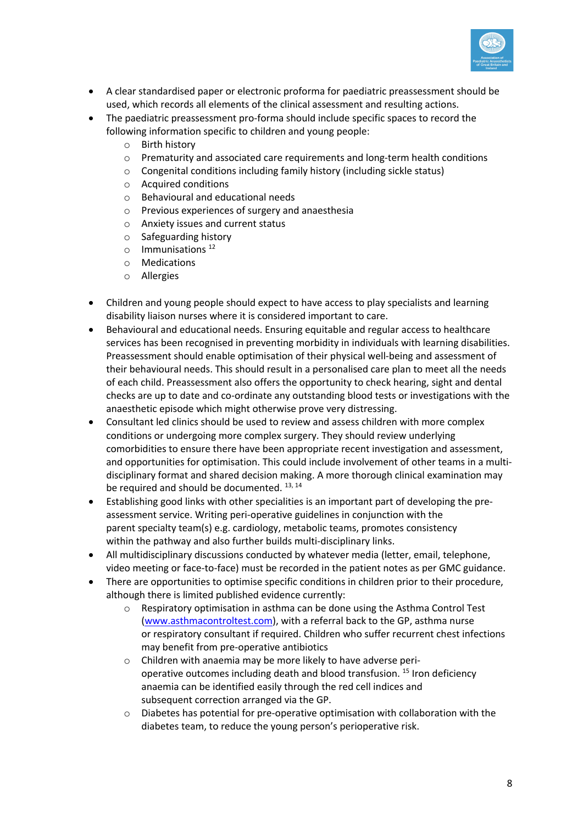

- A clear standardised paper or electronic proforma for paediatric preassessment should be used, which records all elements of the clinical assessment and resulting actions.
- The paediatric preassessment pro-forma should include specific spaces to record the following information specific to children and young people:
	- o Birth history
	- o Prematurity and associated care requirements and long-term health conditions
	- o Congenital conditions including family history (including sickle status)
	- o Acquired conditions
	- o Behavioural and educational needs
	- o Previous experiences of surgery and anaesthesia
	- o Anxiety issues and current status
	- o Safeguarding history
	- $\circ$  Immunisations<sup>12</sup>
	- o Medications
	- o Allergies
- Children and young people should expect to have access to play specialists and learning disability liaison nurses where it is considered important to care.
- Behavioural and educational needs. Ensuring equitable and regular access to healthcare services has been recognised in preventing morbidity in individuals with learning disabilities. Preassessment should enable optimisation of their physical well-being and assessment of their behavioural needs. This should result in a personalised care plan to meet all the needs of each child. Preassessment also offers the opportunity to check hearing, sight and dental checks are up to date and co-ordinate any outstanding blood tests or investigations with the anaesthetic episode which might otherwise prove very distressing.
- Consultant led clinics should be used to review and assess children with more complex conditions or undergoing more complex surgery. They should review underlying comorbidities to ensure there have been appropriate recent investigation and assessment, and opportunities for optimisation. This could include involvement of other teams in a multidisciplinary format and shared decision making. A more thorough clinical examination may be required and should be documented.  $^{13, 14}$
- Establishing good links with other specialities is an important part of developing the preassessment service. Writing peri-operative guidelines in conjunction with the parent specialty team(s) e.g. cardiology, metabolic teams, promotes consistency within the pathway and also further builds multi-disciplinary links.
- All multidisciplinary discussions conducted by whatever media (letter, email, telephone, video meeting or face-to-face) must be recorded in the patient notes as per GMC guidance.
- There are opportunities to optimise specific conditions in children prior to their procedure, although there is limited published evidence currently:
	- o Respiratory optimisation in asthma can be done using the Asthma Control Test (www.asthmacontroltest.com), with a referral back to the GP, asthma nurse or respiratory consultant if required. Children who suffer recurrent chest infections may benefit from pre-operative antibiotics
	- o Children with anaemia may be more likely to have adverse perioperative outcomes including death and blood transfusion. <sup>15</sup> Iron deficiency anaemia can be identified easily through the red cell indices and subsequent correction arranged via the GP.
	- $\circ$  Diabetes has potential for pre-operative optimisation with collaboration with the diabetes team, to reduce the young person's perioperative risk.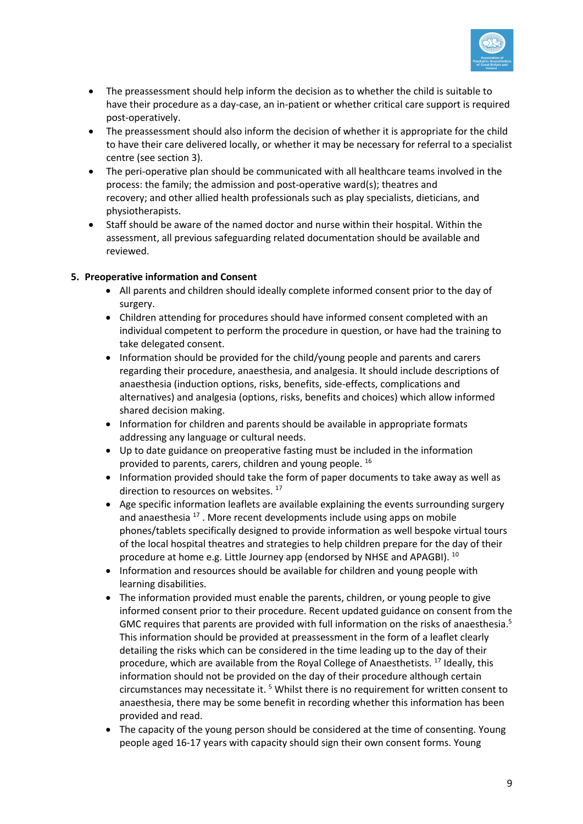

- The preassessment should help inform the decision as to whether the child is suitable to have their procedure as a day-case, an in-patient or whether critical care support is required post-operatively.
- The preassessment should also inform the decision of whether it is appropriate for the child to have their care delivered locally, or whether it may be necessary for referral to a specialist centre (see section 3).
- The peri-operative plan should be communicated with all healthcare teams involved in the process: the family; the admission and post-operative ward(s); theatres and recovery; and other allied health professionals such as play specialists, dieticians, and physiotherapists.
- Staff should be aware of the named doctor and nurse within their hospital. Within the assessment, all previous safeguarding related documentation should be available and reviewed.

### **5. Preoperative information and Consent**

- All parents and children should ideally complete informed consent prior to the day of surgery.
- Children attending for procedures should have informed consent completed with an individual competent to perform the procedure in question, or have had the training to take delegated consent.
- Information should be provided for the child/young people and parents and carers regarding their procedure, anaesthesia, and analgesia. It should include descriptions of anaesthesia (induction options, risks, benefits, side-effects, complications and alternatives) and analgesia (options, risks, benefits and choices) which allow informed shared decision making.
- Information for children and parents should be available in appropriate formats addressing any language or cultural needs.
- Up to date guidance on preoperative fasting must be included in the information provided to parents, carers, children and young people. <sup>16</sup>
- Information provided should take the form of paper documents to take away as well as direction to resources on websites.<sup>17</sup>
- Age specific information leaflets are available explaining the events surrounding surgery and anaesthesia  $17$ . More recent developments include using apps on mobile phones/tablets specifically designed to provide information as well bespoke virtual tours of the local hospital theatres and strategies to help children prepare for the day of their procedure at home e.g. Little Journey app (endorsed by NHSE and APAGBI). <sup>10</sup>
- Information and resources should be available for children and young people with learning disabilities.
- The information provided must enable the parents, children, or young people to give informed consent prior to their procedure. Recent updated guidance on consent from the GMC requires that parents are provided with full information on the risks of anaesthesia.<sup>5</sup> This information should be provided at preassessment in the form of a leaflet clearly detailing the risks which can be considered in the time leading up to the day of their procedure, which are available from the Royal College of Anaesthetists. <sup>17</sup> Ideally, this information should not be provided on the day of their procedure although certain circumstances may necessitate it. <sup>5</sup> Whilst there is no requirement for written consent to anaesthesia, there may be some benefit in recording whether this information has been provided and read.
- The capacity of the young person should be considered at the time of consenting. Young people aged 16-17 years with capacity should sign their own consent forms. Young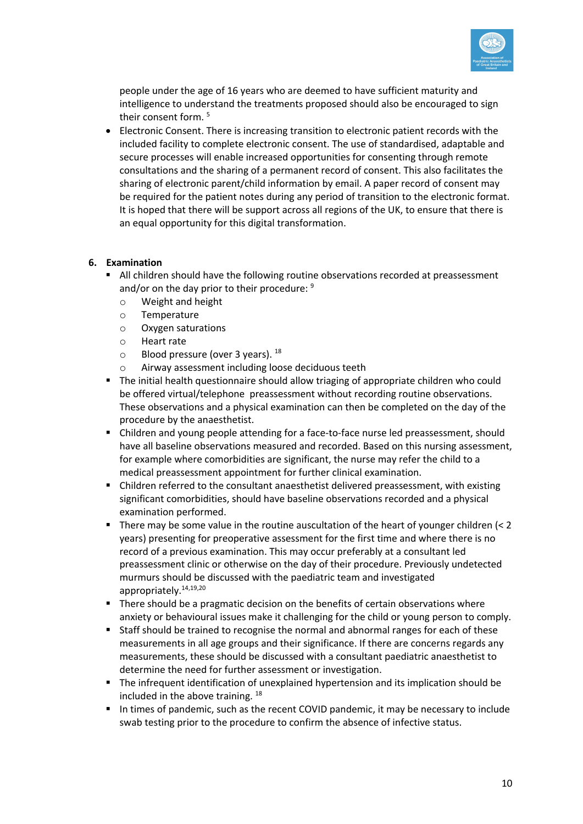

people under the age of 16 years who are deemed to have sufficient maturity and intelligence to understand the treatments proposed should also be encouraged to sign their consent form.<sup>5</sup>

• Electronic Consent. There is increasing transition to electronic patient records with the included facility to complete electronic consent. The use of standardised, adaptable and secure processes will enable increased opportunities for consenting through remote consultations and the sharing of a permanent record of consent. This also facilitates the sharing of electronic parent/child information by email. A paper record of consent may be required for the patient notes during any period of transition to the electronic format. It is hoped that there will be support across all regions of the UK, to ensure that there is an equal opportunity for this digital transformation.

#### **6. Examination**

- All children should have the following routine observations recorded at preassessment and/or on the day prior to their procedure: 9
	- o Weight and height
	- o Temperature
	- o Oxygen saturations
	- o Heart rate
	- $\circ$  Blood pressure (over 3 years).  $^{18}$
	- o Airway assessment including loose deciduous teeth
- § The initial health questionnaire should allow triaging of appropriate children who could be offered virtual/telephone preassessment without recording routine observations. These observations and a physical examination can then be completed on the day of the procedure by the anaesthetist.
- Children and young people attending for a face-to-face nurse led preassessment, should have all baseline observations measured and recorded. Based on this nursing assessment, for example where comorbidities are significant, the nurse may refer the child to a medical preassessment appointment for further clinical examination.
- § Children referred to the consultant anaesthetist delivered preassessment, with existing significant comorbidities, should have baseline observations recorded and a physical examination performed.
- There may be some value in the routine auscultation of the heart of younger children (< 2 years) presenting for preoperative assessment for the first time and where there is no record of a previous examination. This may occur preferably at a consultant led preassessment clinic or otherwise on the day of their procedure. Previously undetected murmurs should be discussed with the paediatric team and investigated appropriately.<sup>14,19,20</sup>
- There should be a pragmatic decision on the benefits of certain observations where anxiety or behavioural issues make it challenging for the child or young person to comply.
- Staff should be trained to recognise the normal and abnormal ranges for each of these measurements in all age groups and their significance. If there are concerns regards any measurements, these should be discussed with a consultant paediatric anaesthetist to determine the need for further assessment or investigation.
- § The infrequent identification of unexplained hypertension and its implication should be included in the above training. <sup>18</sup>
- In times of pandemic, such as the recent COVID pandemic, it may be necessary to include swab testing prior to the procedure to confirm the absence of infective status.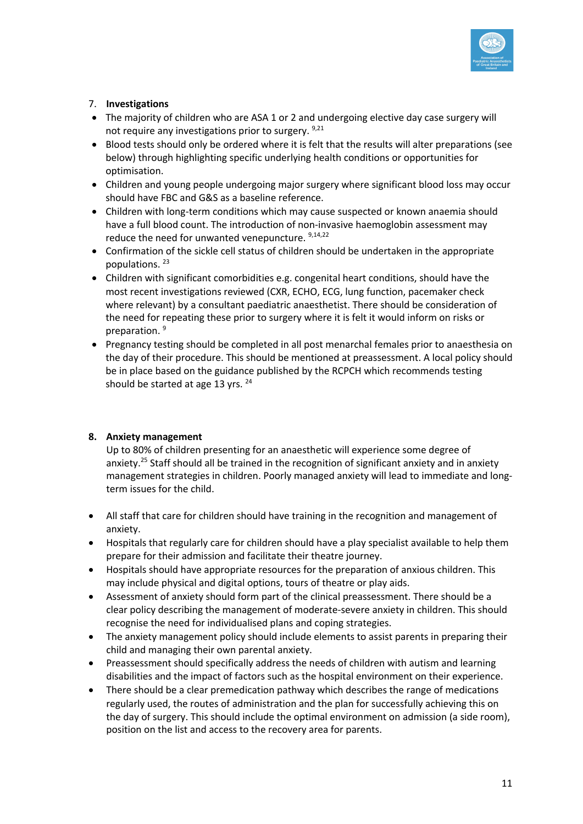

# 7. **Investigations**

- The majority of children who are ASA 1 or 2 and undergoing elective day case surgery will not require any investigations prior to surgery. 9,21
- Blood tests should only be ordered where it is felt that the results will alter preparations (see below) through highlighting specific underlying health conditions or opportunities for optimisation.
- Children and young people undergoing major surgery where significant blood loss may occur should have FBC and G&S as a baseline reference.
- Children with long-term conditions which may cause suspected or known anaemia should have a full blood count. The introduction of non-invasive haemoglobin assessment may reduce the need for unwanted venepuncture. 9,14,22
- Confirmation of the sickle cell status of children should be undertaken in the appropriate populations. <sup>23</sup>
- Children with significant comorbidities e.g. congenital heart conditions, should have the most recent investigations reviewed (CXR, ECHO, ECG, lung function, pacemaker check where relevant) by a consultant paediatric anaesthetist. There should be consideration of the need for repeating these prior to surgery where it is felt it would inform on risks or preparation.<sup>9</sup>
- Pregnancy testing should be completed in all post menarchal females prior to anaesthesia on the day of their procedure. This should be mentioned at preassessment. A local policy should be in place based on the guidance published by the RCPCH which recommends testing should be started at age 13 yrs. <sup>24</sup>

### **8. Anxiety management**

Up to 80% of children presenting for an anaesthetic will experience some degree of anxiety.<sup>25</sup> Staff should all be trained in the recognition of significant anxiety and in anxiety management strategies in children. Poorly managed anxiety will lead to immediate and longterm issues for the child.

- All staff that care for children should have training in the recognition and management of anxiety.
- Hospitals that regularly care for children should have a play specialist available to help them prepare for their admission and facilitate their theatre journey.
- Hospitals should have appropriate resources for the preparation of anxious children. This may include physical and digital options, tours of theatre or play aids.
- Assessment of anxiety should form part of the clinical preassessment. There should be a clear policy describing the management of moderate-severe anxiety in children. This should recognise the need for individualised plans and coping strategies.
- The anxiety management policy should include elements to assist parents in preparing their child and managing their own parental anxiety.
- Preassessment should specifically address the needs of children with autism and learning disabilities and the impact of factors such as the hospital environment on their experience.
- There should be a clear premedication pathway which describes the range of medications regularly used, the routes of administration and the plan for successfully achieving this on the day of surgery. This should include the optimal environment on admission (a side room), position on the list and access to the recovery area for parents.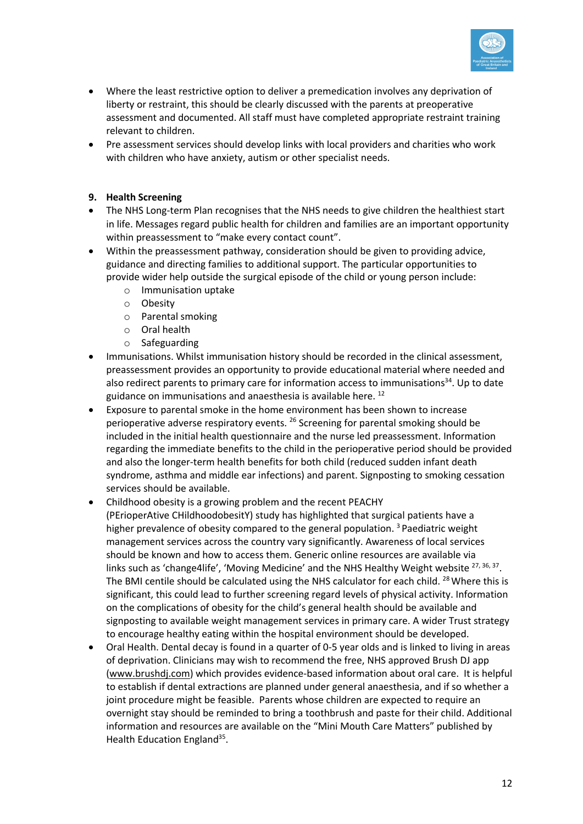

- Where the least restrictive option to deliver a premedication involves any deprivation of liberty or restraint, this should be clearly discussed with the parents at preoperative assessment and documented. All staff must have completed appropriate restraint training relevant to children.
- Pre assessment services should develop links with local providers and charities who work with children who have anxiety, autism or other specialist needs.

### **9. Health Screening**

- The NHS Long-term Plan recognises that the NHS needs to give children the healthiest start in life. Messages regard public health for children and families are an important opportunity within preassessment to "make every contact count".
- Within the preassessment pathway, consideration should be given to providing advice, guidance and directing families to additional support. The particular opportunities to provide wider help outside the surgical episode of the child or young person include:
	- o Immunisation uptake
	- o Obesity
	- o Parental smoking
	- o Oral health
	- o Safeguarding
- Immunisations. Whilst immunisation history should be recorded in the clinical assessment, preassessment provides an opportunity to provide educational material where needed and also redirect parents to primary care for information access to immunisations $34$ . Up to date guidance on immunisations and anaesthesia is available here.<sup>12</sup>
- Exposure to parental smoke in the home environment has been shown to increase perioperative adverse respiratory events. <sup>26</sup> Screening for parental smoking should be included in the initial health questionnaire and the nurse led preassessment. Information regarding the immediate benefits to the child in the perioperative period should be provided and also the longer-term health benefits for both child (reduced sudden infant death syndrome, asthma and middle ear infections) and parent. Signposting to smoking cessation services should be available.
- Childhood obesity is a growing problem and the recent PEACHY (PErioperAtive CHildhoodobesitY) study has highlighted that surgical patients have a higher prevalence of obesity compared to the general population. 3 Paediatric weight management services across the country vary significantly. Awareness of local services should be known and how to access them. Generic online resources are available via links such as 'change4life', 'Moving Medicine' and the NHS Healthy Weight website <sup>27, 36, 37</sup>. The BMI centile should be calculated using the NHS calculator for each child. <sup>28</sup> Where this is significant, this could lead to further screening regard levels of physical activity. Information on the complications of obesity for the child's general health should be available and signposting to available weight management services in primary care. A wider Trust strategy to encourage healthy eating within the hospital environment should be developed.
- Oral Health. Dental decay is found in a quarter of 0-5 year olds and is linked to living in areas of deprivation. Clinicians may wish to recommend the free, NHS approved Brush DJ app (www.brushdj.com) which provides evidence-based information about oral care. It is helpful to establish if dental extractions are planned under general anaesthesia, and if so whether a joint procedure might be feasible. Parents whose children are expected to require an overnight stay should be reminded to bring a toothbrush and paste for their child. Additional information and resources are available on the "Mini Mouth Care Matters" published by Health Education England<sup>35</sup>.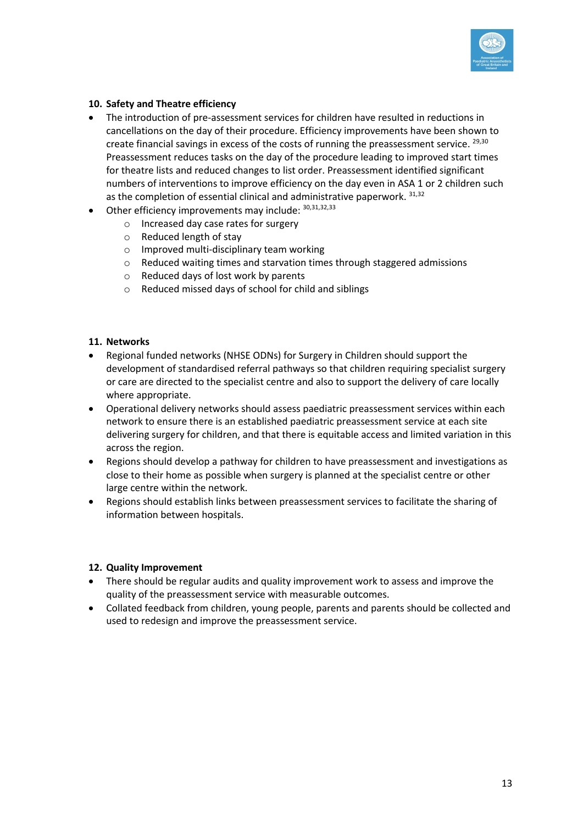

#### **10. Safety and Theatre efficiency**

- The introduction of pre-assessment services for children have resulted in reductions in cancellations on the day of their procedure. Efficiency improvements have been shown to create financial savings in excess of the costs of running the preassessment service. <sup>29,30</sup> Preassessment reduces tasks on the day of the procedure leading to improved start times for theatre lists and reduced changes to list order. Preassessment identified significant numbers of interventions to improve efficiency on the day even in ASA 1 or 2 children such as the completion of essential clinical and administrative paperwork. 31,32
- Other efficiency improvements may include:  $30,31,32,33$ 
	- o Increased day case rates for surgery
	- o Reduced length of stay
	- o Improved multi-disciplinary team working
	- $\circ$  Reduced waiting times and starvation times through staggered admissions
	- o Reduced days of lost work by parents
	- o Reduced missed days of school for child and siblings

#### **11. Networks**

- Regional funded networks (NHSE ODNs) for Surgery in Children should support the development of standardised referral pathways so that children requiring specialist surgery or care are directed to the specialist centre and also to support the delivery of care locally where appropriate.
- Operational delivery networks should assess paediatric preassessment services within each network to ensure there is an established paediatric preassessment service at each site delivering surgery for children, and that there is equitable access and limited variation in this across the region.
- Regions should develop a pathway for children to have preassessment and investigations as close to their home as possible when surgery is planned at the specialist centre or other large centre within the network.
- Regions should establish links between preassessment services to facilitate the sharing of information between hospitals.

#### **12. Quality Improvement**

- There should be regular audits and quality improvement work to assess and improve the quality of the preassessment service with measurable outcomes.
- Collated feedback from children, young people, parents and parents should be collected and used to redesign and improve the preassessment service.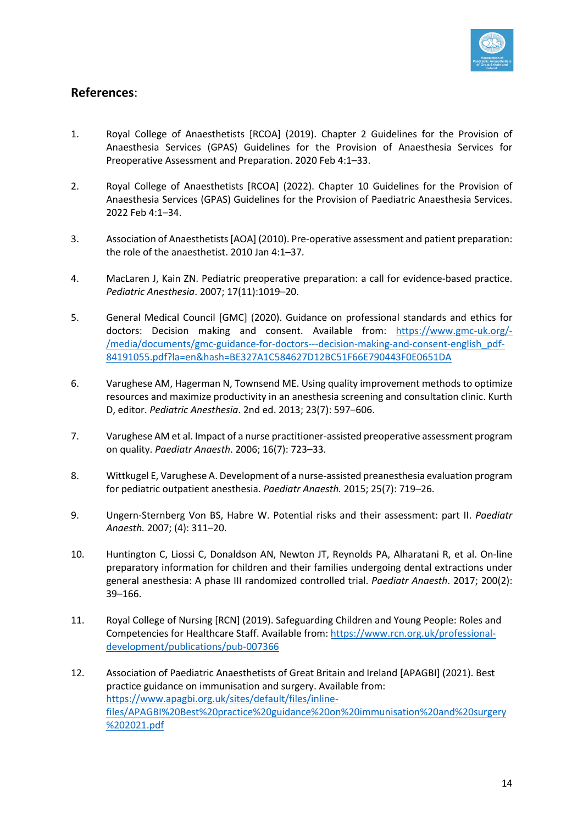

# **References**:

- 1. Royal College of Anaesthetists [RCOA] (2019). Chapter 2 Guidelines for the Provision of Anaesthesia Services (GPAS) Guidelines for the Provision of Anaesthesia Services for Preoperative Assessment and Preparation. 2020 Feb 4:1–33.
- 2. Royal College of Anaesthetists [RCOA] (2022). Chapter 10 Guidelines for the Provision of Anaesthesia Services (GPAS) Guidelines for the Provision of Paediatric Anaesthesia Services. 2022 Feb 4:1–34.
- 3. Association of Anaesthetists [AOA] (2010). Pre-operative assessment and patient preparation: the role of the anaesthetist. 2010 Jan 4:1–37.
- 4. MacLaren J, Kain ZN. Pediatric preoperative preparation: a call for evidence-based practice. *Pediatric Anesthesia*. 2007; 17(11):1019–20.
- 5. General Medical Council [GMC] (2020). Guidance on professional standards and ethics for doctors: Decision making and consent. Available from: https://www.gmc-uk.org/- /media/documents/gmc-guidance-for-doctors---decision-making-and-consent-english\_pdf-84191055.pdf?la=en&hash=BE327A1C584627D12BC51F66E790443F0E0651DA
- 6. Varughese AM, Hagerman N, Townsend ME. Using quality improvement methods to optimize resources and maximize productivity in an anesthesia screening and consultation clinic. Kurth D, editor. *Pediatric Anesthesia*. 2nd ed. 2013; 23(7): 597–606.
- 7. Varughese AM et al. Impact of a nurse practitioner-assisted preoperative assessment program on quality. *Paediatr Anaesth*. 2006; 16(7): 723–33.
- 8. Wittkugel E, Varughese A. Development of a nurse-assisted preanesthesia evaluation program for pediatric outpatient anesthesia. *Paediatr Anaesth.* 2015; 25(7): 719–26.
- 9. Ungern-Sternberg Von BS, Habre W. Potential risks and their assessment: part II. *Paediatr Anaesth.* 2007; (4): 311–20.
- 10. Huntington C, Liossi C, Donaldson AN, Newton JT, Reynolds PA, Alharatani R, et al. On-line preparatory information for children and their families undergoing dental extractions under general anesthesia: A phase III randomized controlled trial. *Paediatr Anaesth*. 2017; 200(2): 39–166.
- 11. Royal College of Nursing [RCN] (2019). Safeguarding Children and Young People: Roles and Competencies for Healthcare Staff. Available from: https://www.rcn.org.uk/professionaldevelopment/publications/pub-007366
- 12. Association of Paediatric Anaesthetists of Great Britain and Ireland [APAGBI] (2021). Best practice guidance on immunisation and surgery. Available from: https://www.apagbi.org.uk/sites/default/files/inlinefiles/APAGBI%20Best%20practice%20guidance%20on%20immunisation%20and%20surgery %202021.pdf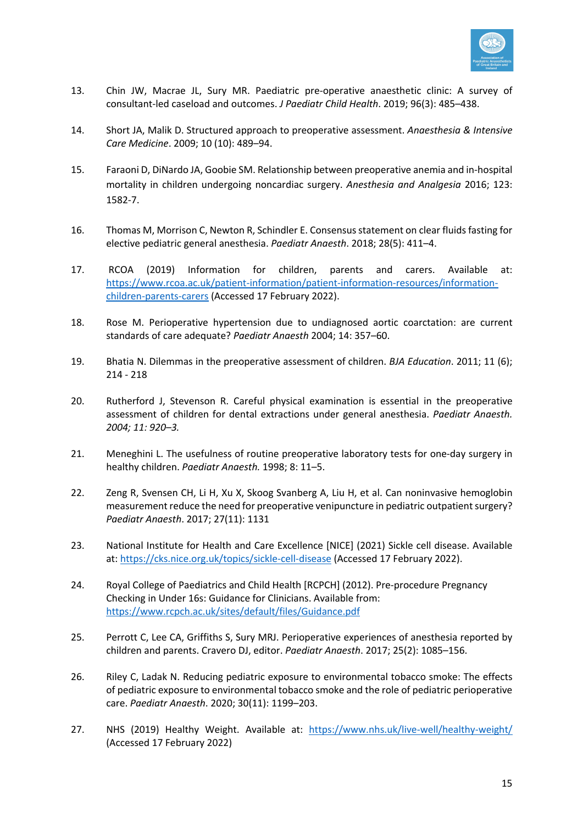

- 13. Chin JW, Macrae JL, Sury MR. Paediatric pre-operative anaesthetic clinic: A survey of consultant-led caseload and outcomes. *J Paediatr Child Health*. 2019; 96(3): 485–438.
- 14. Short JA, Malik D. Structured approach to preoperative assessment. *Anaesthesia & Intensive Care Medicine*. 2009; 10 (10): 489–94.
- 15. Faraoni D, DiNardo JA, Goobie SM. Relationship between preoperative anemia and in-hospital mortality in children undergoing noncardiac surgery. *Anesthesia and Analgesia* 2016; 123: 1582-7.
- 16. Thomas M, Morrison C, Newton R, Schindler E. Consensus statement on clear fluids fasting for elective pediatric general anesthesia. *Paediatr Anaesth*. 2018; 28(5): 411–4.
- 17. RCOA (2019) Information for children, parents and carers. Available at: https://www.rcoa.ac.uk/patient-information/patient-information-resources/informationchildren-parents-carers (Accessed 17 February 2022).
- 18. Rose M. Perioperative hypertension due to undiagnosed aortic coarctation: are current standards of care adequate? *Paediatr Anaesth* 2004; 14: 357–60.
- 19. Bhatia N. Dilemmas in the preoperative assessment of children. *BJA Education*. 2011; 11 (6); 214 - 218
- 20. Rutherford J, Stevenson R. Careful physical examination is essential in the preoperative assessment of children for dental extractions under general anesthesia. *Paediatr Anaesth. 2004; 11: 920–3.*
- 21. Meneghini L. The usefulness of routine preoperative laboratory tests for one-day surgery in healthy children. *Paediatr Anaesth.* 1998; 8: 11–5.
- 22. Zeng R, Svensen CH, Li H, Xu X, Skoog Svanberg A, Liu H, et al. Can noninvasive hemoglobin measurement reduce the need for preoperative venipuncture in pediatric outpatient surgery? *Paediatr Anaesth*. 2017; 27(11): 1131
- 23. National Institute for Health and Care Excellence [NICE] (2021) Sickle cell disease. Available at: https://cks.nice.org.uk/topics/sickle-cell-disease (Accessed 17 February 2022).
- 24. Royal College of Paediatrics and Child Health [RCPCH] (2012). Pre-procedure Pregnancy Checking in Under 16s: Guidance for Clinicians. Available from: https://www.rcpch.ac.uk/sites/default/files/Guidance.pdf
- 25. Perrott C, Lee CA, Griffiths S, Sury MRJ. Perioperative experiences of anesthesia reported by children and parents. Cravero DJ, editor. *Paediatr Anaesth*. 2017; 25(2): 1085–156.
- 26. Riley C, Ladak N. Reducing pediatric exposure to environmental tobacco smoke: The effects of pediatric exposure to environmental tobacco smoke and the role of pediatric perioperative care. *Paediatr Anaesth*. 2020; 30(11): 1199–203.
- 27. NHS (2019) Healthy Weight. Available at: https://www.nhs.uk/live-well/healthy-weight/ (Accessed 17 February 2022)